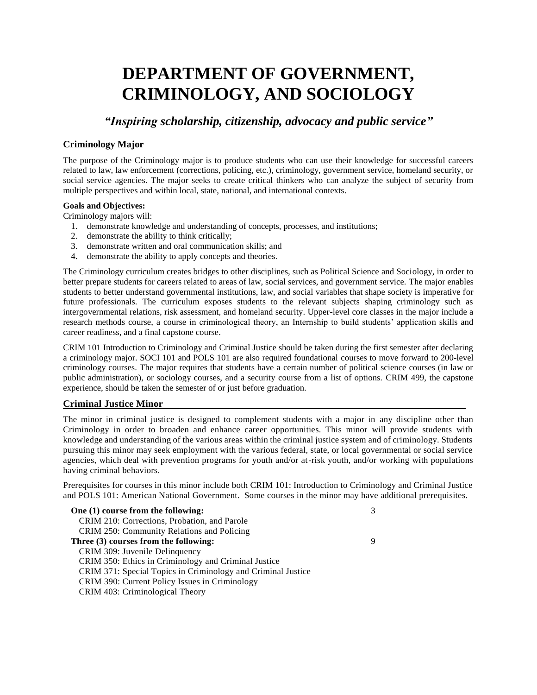# **DEPARTMENT OF GOVERNMENT, CRIMINOLOGY, AND SOCIOLOGY**

*"Inspiring scholarship, citizenship, advocacy and public service"*

#### **Criminology Major**

The purpose of the Criminology major is to produce students who can use their knowledge for successful careers related to law, law enforcement (corrections, policing, etc.), criminology, government service, homeland security, or social service agencies. The major seeks to create critical thinkers who can analyze the subject of security from multiple perspectives and within local, state, national, and international contexts.

#### **Goals and Objectives:**

Criminology majors will:

- 1. demonstrate knowledge and understanding of concepts, processes, and institutions;
- 2. demonstrate the ability to think critically;
- 3. demonstrate written and oral communication skills; and
- 4. demonstrate the ability to apply concepts and theories.

The Criminology curriculum creates bridges to other disciplines, such as Political Science and Sociology, in order to better prepare students for careers related to areas of law, social services, and government service. The major enables students to better understand governmental institutions, law, and social variables that shape society is imperative for future professionals. The curriculum exposes students to the relevant subjects shaping criminology such as intergovernmental relations, risk assessment, and homeland security. Upper-level core classes in the major include a research methods course, a course in criminological theory, an Internship to build students' application skills and career readiness, and a final capstone course.

CRIM 101 Introduction to Criminology and Criminal Justice should be taken during the first semester after declaring a criminology major. SOCI 101 and POLS 101 are also required foundational courses to move forward to 200-level criminology courses. The major requires that students have a certain number of political science courses (in law or public administration), or sociology courses, and a security course from a list of options. CRIM 499, the capstone experience, should be taken the semester of or just before graduation.

#### **Criminal Justice Minor**

The minor in criminal justice is designed to complement students with a major in any discipline other than Criminology in order to broaden and enhance career opportunities. This minor will provide students with knowledge and understanding of the various areas within the criminal justice system and of criminology. Students pursuing this minor may seek employment with the various federal, state, or local governmental or social service agencies, which deal with prevention programs for youth and/or at-risk youth, and/or working with populations having criminal behaviors.

Prerequisites for courses in this minor include both CRIM 101: Introduction to Criminology and Criminal Justice and POLS 101: American National Government. Some courses in the minor may have additional prerequisites.

| One (1) course from the following:                           | 3 |
|--------------------------------------------------------------|---|
| CRIM 210: Corrections, Probation, and Parole                 |   |
| CRIM 250: Community Relations and Policing                   |   |
| Three (3) courses from the following:                        | 9 |
| CRIM 309: Juvenile Delinquency                               |   |
| CRIM 350: Ethics in Criminology and Criminal Justice         |   |
| CRIM 371: Special Topics in Criminology and Criminal Justice |   |
| CRIM 390: Current Policy Issues in Criminology               |   |
| CRIM 403: Criminological Theory                              |   |
|                                                              |   |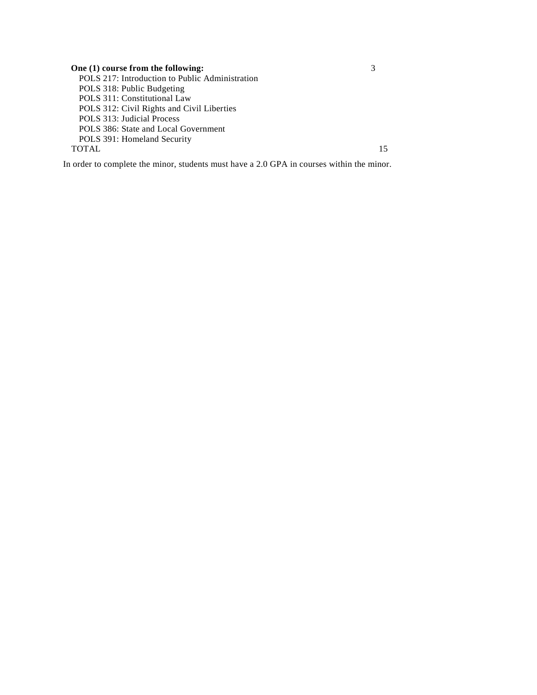**One (1) course from the following:** 3 POLS 217: Introduction to Public Administration POLS 318: Public Budgeting POLS 311: Constitutional Law POLS 312: Civil Rights and Civil Liberties POLS 313: Judicial Process POLS 386: State and Local Government POLS 391: Homeland Security TOTAL 15

In order to complete the minor, students must have a 2.0 GPA in courses within the minor.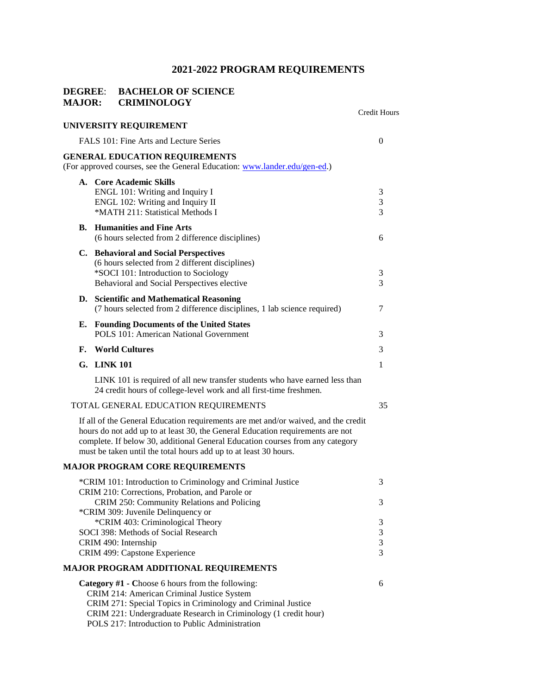### **DEGREE**: **BACHELOR OF SCIENCE MAJOR: CRIMINOLOGY**

|    |                                                                                                                                                                                                                                                                                                                           | Credit Hours |
|----|---------------------------------------------------------------------------------------------------------------------------------------------------------------------------------------------------------------------------------------------------------------------------------------------------------------------------|--------------|
|    | UNIVERSITY REQUIREMENT                                                                                                                                                                                                                                                                                                    |              |
|    | FALS 101: Fine Arts and Lecture Series                                                                                                                                                                                                                                                                                    | 0            |
|    | <b>GENERAL EDUCATION REQUIREMENTS</b><br>(For approved courses, see the General Education: www.lander.edu/gen-ed.)                                                                                                                                                                                                        |              |
|    | A. Core Academic Skills<br>ENGL 101: Writing and Inquiry I<br>ENGL 102: Writing and Inquiry II<br>*MATH 211: Statistical Methods I                                                                                                                                                                                        | 3<br>3<br>3  |
|    | <b>B.</b> Humanities and Fine Arts<br>(6 hours selected from 2 difference disciplines)                                                                                                                                                                                                                                    | 6            |
|    | C. Behavioral and Social Perspectives<br>(6 hours selected from 2 different disciplines)<br>*SOCI 101: Introduction to Sociology<br>Behavioral and Social Perspectives elective                                                                                                                                           | 3<br>3       |
|    | D. Scientific and Mathematical Reasoning<br>(7 hours selected from 2 difference disciplines, 1 lab science required)                                                                                                                                                                                                      | 7            |
| Е. | <b>Founding Documents of the United States</b><br><b>POLS 101: American National Government</b>                                                                                                                                                                                                                           | 3            |
| F. | <b>World Cultures</b>                                                                                                                                                                                                                                                                                                     | 3            |
|    | G. LINK 101                                                                                                                                                                                                                                                                                                               | 1            |
|    | LINK 101 is required of all new transfer students who have earned less than<br>24 credit hours of college-level work and all first-time freshmen.                                                                                                                                                                         |              |
|    | TOTAL GENERAL EDUCATION REQUIREMENTS                                                                                                                                                                                                                                                                                      | 35           |
|    | If all of the General Education requirements are met and/or waived, and the credit<br>hours do not add up to at least 30, the General Education requirements are not<br>complete. If below 30, additional General Education courses from any category<br>must be taken until the total hours add up to at least 30 hours. |              |
|    | <b>MAJOR PROGRAM CORE REQUIREMENTS</b>                                                                                                                                                                                                                                                                                    |              |
|    | *CRIM 101: Introduction to Criminology and Criminal Justice                                                                                                                                                                                                                                                               | 3            |
|    | CRIM 210: Corrections, Probation, and Parole or<br>CRIM 250: Community Relations and Policing<br>*CRIM 309: Juvenile Delinquency or                                                                                                                                                                                       | Ć            |
|    | *CRIM 403: Criminological Theory                                                                                                                                                                                                                                                                                          | 3            |
|    | SOCI 398: Methods of Social Research                                                                                                                                                                                                                                                                                      | 3<br>3       |
|    | CRIM 490: Internship<br>CRIM 499: Capstone Experience                                                                                                                                                                                                                                                                     | 3            |
|    | <b>MAJOR PROGRAM ADDITIONAL REQUIREMENTS</b>                                                                                                                                                                                                                                                                              |              |
|    | Category #1 - Choose 6 hours from the following:<br>CRIM 214: American Criminal Justice System<br>CRIM 271: Special Topics in Criminology and Criminal Justice<br>CRIM 221: Undergraduate Research in Criminology (1 credit hour)<br>POLS 217: Introduction to Public Administration                                      | 6            |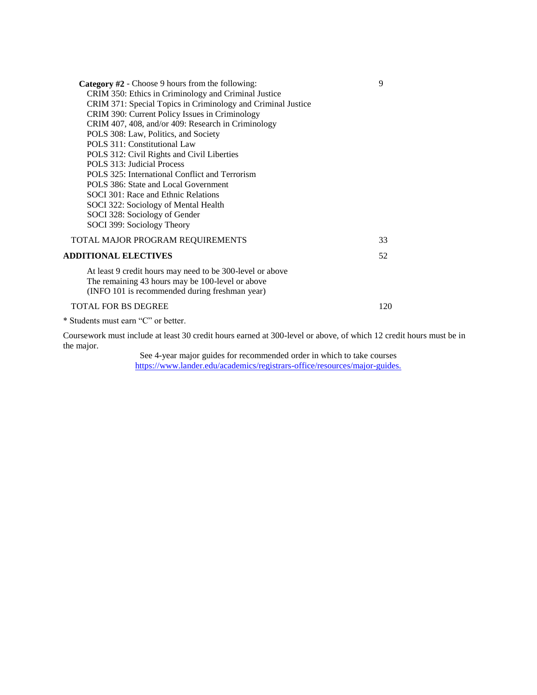| Category #2 - Choose 9 hours from the following:                                                                                                                | 9   |
|-----------------------------------------------------------------------------------------------------------------------------------------------------------------|-----|
| CRIM 350: Ethics in Criminology and Criminal Justice                                                                                                            |     |
| CRIM 371: Special Topics in Criminology and Criminal Justice                                                                                                    |     |
| CRIM 390: Current Policy Issues in Criminology                                                                                                                  |     |
| CRIM 407, 408, and/or 409: Research in Criminology                                                                                                              |     |
| POLS 308: Law, Politics, and Society                                                                                                                            |     |
| POLS 311: Constitutional Law                                                                                                                                    |     |
| POLS 312: Civil Rights and Civil Liberties                                                                                                                      |     |
| POLS 313: Judicial Process                                                                                                                                      |     |
| POLS 325: International Conflict and Terrorism                                                                                                                  |     |
| POLS 386: State and Local Government                                                                                                                            |     |
| SOCI 301: Race and Ethnic Relations                                                                                                                             |     |
| SOCI 322: Sociology of Mental Health                                                                                                                            |     |
| SOCI 328: Sociology of Gender                                                                                                                                   |     |
| SOCI 399: Sociology Theory                                                                                                                                      |     |
| TOTAL MAJOR PROGRAM REQUIREMENTS                                                                                                                                | 33  |
| <b>ADDITIONAL ELECTIVES</b>                                                                                                                                     | 52  |
| At least 9 credit hours may need to be 300-level or above<br>The remaining 43 hours may be 100-level or above<br>(INFO 101 is recommended during freshman year) |     |
| <b>TOTAL FOR BS DEGREE</b>                                                                                                                                      | 120 |
|                                                                                                                                                                 |     |

\* Students must earn "C" or better.

Coursework must include at least 30 credit hours earned at 300-level or above, of which 12 credit hours must be in the major.

> See 4-year major guides for recommended order in which to take courses [https://www.lander.edu/academics/registrars-office/resources/major-guides.](https://www.lander.edu/academics/registrars-office/resources/major-guides)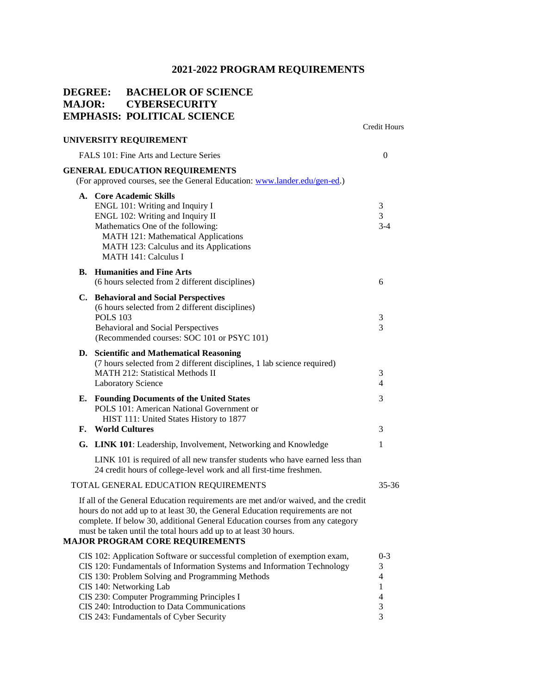## **DEGREE: BACHELOR OF SCIENCE MAJOR: CYBERSECURITY EMPHASIS: POLITICAL SCIENCE**

|          |                                                                                                                                                                                                                                                                                                                                                                              | <b>Credit Hours</b>                   |
|----------|------------------------------------------------------------------------------------------------------------------------------------------------------------------------------------------------------------------------------------------------------------------------------------------------------------------------------------------------------------------------------|---------------------------------------|
|          | UNIVERSITY REQUIREMENT                                                                                                                                                                                                                                                                                                                                                       |                                       |
|          | FALS 101: Fine Arts and Lecture Series                                                                                                                                                                                                                                                                                                                                       | 0                                     |
|          | <b>GENERAL EDUCATION REQUIREMENTS</b><br>(For approved courses, see the General Education: www.lander.edu/gen-ed.)                                                                                                                                                                                                                                                           |                                       |
|          | A. Core Academic Skills<br>ENGL 101: Writing and Inquiry I<br>ENGL 102: Writing and Inquiry II<br>Mathematics One of the following:<br>MATH 121: Mathematical Applications<br>MATH 123: Calculus and its Applications<br><b>MATH 141: Calculus I</b>                                                                                                                         | 3<br>3<br>$3 - 4$                     |
| В.       | <b>Humanities and Fine Arts</b><br>(6 hours selected from 2 different disciplines)                                                                                                                                                                                                                                                                                           | 6                                     |
|          | C. Behavioral and Social Perspectives<br>(6 hours selected from 2 different disciplines)<br><b>POLS 103</b><br><b>Behavioral and Social Perspectives</b><br>(Recommended courses: SOC 101 or PSYC 101)                                                                                                                                                                       | 3<br>3                                |
|          | D. Scientific and Mathematical Reasoning<br>(7 hours selected from 2 different disciplines, 1 lab science required)<br><b>MATH 212: Statistical Methods II</b><br><b>Laboratory Science</b>                                                                                                                                                                                  | 3<br>4                                |
| Е.<br>F. | <b>Founding Documents of the United States</b><br>POLS 101: American National Government or<br>HIST 111: United States History to 1877<br><b>World Cultures</b>                                                                                                                                                                                                              | 3<br>3                                |
|          | G. LINK 101: Leadership, Involvement, Networking and Knowledge                                                                                                                                                                                                                                                                                                               | 1                                     |
|          | LINK 101 is required of all new transfer students who have earned less than<br>24 credit hours of college-level work and all first-time freshmen.                                                                                                                                                                                                                            |                                       |
|          | TOTAL GENERAL EDUCATION REQUIREMENTS                                                                                                                                                                                                                                                                                                                                         | $35 - 36$                             |
|          | If all of the General Education requirements are met and/or waived, and the credit<br>hours do not add up to at least 30, the General Education requirements are not<br>complete. If below 30, additional General Education courses from any category<br>must be taken until the total hours add up to at least 30 hours.<br><b>MAJOR PROGRAM CORE REQUIREMENTS</b>          |                                       |
|          | CIS 102: Application Software or successful completion of exemption exam,<br>CIS 120: Fundamentals of Information Systems and Information Technology<br>CIS 130: Problem Solving and Programming Methods<br>CIS 140: Networking Lab<br>CIS 230: Computer Programming Principles I<br>CIS 240: Introduction to Data Communications<br>CIS 243: Fundamentals of Cyber Security | $0 - 3$<br>3<br>4<br>1<br>4<br>3<br>3 |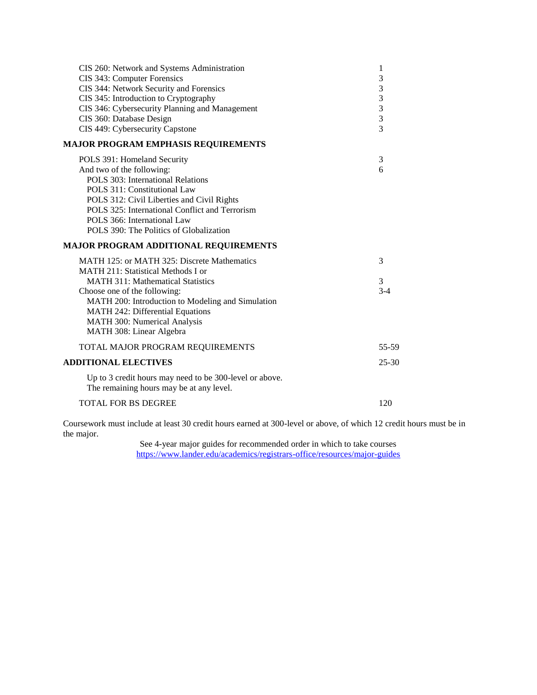| CIS 260: Network and Systems Administration<br>CIS 343: Computer Forensics<br>CIS 344: Network Security and Forensics<br>CIS 345: Introduction to Cryptography<br>CIS 346: Cybersecurity Planning and Management<br>CIS 360: Database Design<br>CIS 449: Cybersecurity Capstone                                    | 1<br>3<br>3<br>3<br>3<br>3<br>$\overline{\mathcal{E}}$ |
|--------------------------------------------------------------------------------------------------------------------------------------------------------------------------------------------------------------------------------------------------------------------------------------------------------------------|--------------------------------------------------------|
| <b>MAJOR PROGRAM EMPHASIS REQUIREMENTS</b>                                                                                                                                                                                                                                                                         |                                                        |
| POLS 391: Homeland Security<br>And two of the following:<br>POLS 303: International Relations<br>POLS 311: Constitutional Law<br>POLS 312: Civil Liberties and Civil Rights<br>POLS 325: International Conflict and Terrorism<br>POLS 366: International Law<br>POLS 390: The Politics of Globalization            | 3<br>6                                                 |
| MAJOR PROGRAM ADDITIONAL REQUIREMENTS                                                                                                                                                                                                                                                                              |                                                        |
| MATH 125: or MATH 325: Discrete Mathematics<br>MATH 211: Statistical Methods I or<br><b>MATH 311: Mathematical Statistics</b><br>Choose one of the following:<br>MATH 200: Introduction to Modeling and Simulation<br>MATH 242: Differential Equations<br>MATH 300: Numerical Analysis<br>MATH 308: Linear Algebra | 3<br>3<br>$3-4$                                        |
| TOTAL MAJOR PROGRAM REQUIREMENTS                                                                                                                                                                                                                                                                                   | 55-59                                                  |
| <b>ADDITIONAL ELECTIVES</b>                                                                                                                                                                                                                                                                                        | $25 - 30$                                              |
| Up to 3 credit hours may need to be 300-level or above.<br>The remaining hours may be at any level.                                                                                                                                                                                                                |                                                        |
| <b>TOTAL FOR BS DEGREE</b>                                                                                                                                                                                                                                                                                         | 120                                                    |
|                                                                                                                                                                                                                                                                                                                    |                                                        |

Coursework must include at least 30 credit hours earned at 300-level or above, of which 12 credit hours must be in the major.

> See 4-year major guides for recommended order in which to take courses <https://www.lander.edu/academics/registrars-office/resources/major-guides>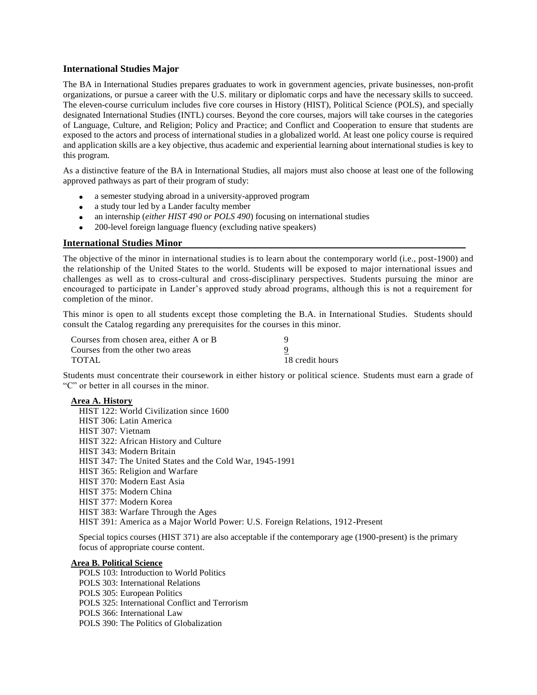#### **International Studies Major**

The BA in International Studies prepares graduates to work in government agencies, private businesses, non-profit organizations, or pursue a career with the U.S. military or diplomatic corps and have the necessary skills to succeed. The eleven-course curriculum includes five core courses in History (HIST), Political Science (POLS), and specially designated International Studies (INTL) courses. Beyond the core courses, majors will take courses in the categories of Language, Culture, and Religion; Policy and Practice; and Conflict and Cooperation to ensure that students are exposed to the actors and process of international studies in a globalized world. At least one policy course is required and application skills are a key objective, thus academic and experiential learning about international studies is key to this program.

As a distinctive feature of the BA in International Studies, all majors must also choose at least one of the following approved pathways as part of their program of study:

- a semester studying abroad in a university-approved program
- a study tour led by a Lander faculty member
- an internship (*either HIST 490 or POLS 490*) focusing on international studies
- 200-level foreign language fluency (excluding native speakers)

#### **International Studies Minor**

The objective of the minor in international studies is to learn about the contemporary world (i.e., post-1900) and the relationship of the United States to the world. Students will be exposed to major international issues and challenges as well as to cross-cultural and cross-disciplinary perspectives. Students pursuing the minor are encouraged to participate in Lander's approved study abroad programs, although this is not a requirement for completion of the minor.

This minor is open to all students except those completing the B.A. in International Studies. Students should consult the Catalog regarding any prerequisites for the courses in this minor.

| Courses from chosen area, either A or B |                 |
|-----------------------------------------|-----------------|
| Courses from the other two areas        |                 |
| <b>TOTAL</b>                            | 18 credit hours |

Students must concentrate their coursework in either history or political science. Students must earn a grade of "C" or better in all courses in the minor.

#### **Area A. History**

HIST 122: World Civilization since 1600 HIST 306: Latin America HIST 307: Vietnam HIST 322: African History and Culture HIST 343: Modern Britain HIST 347: The United States and the Cold War, 1945-1991 HIST 365: Religion and Warfare HIST 370: Modern East Asia HIST 375: Modern China HIST 377: Modern Korea HIST 383: Warfare Through the Ages HIST 391: America as a Major World Power: U.S. Foreign Relations, 1912-Present

Special topics courses (HIST 371) are also acceptable if the contemporary age (1900-present) is the primary focus of appropriate course content.

#### **Area B. Political Science**

POLS 103: Introduction to World Politics

- POLS 303: International Relations
- POLS 305: European Politics
- POLS 325: International Conflict and Terrorism
- POLS 366: International Law
- POLS 390: The Politics of Globalization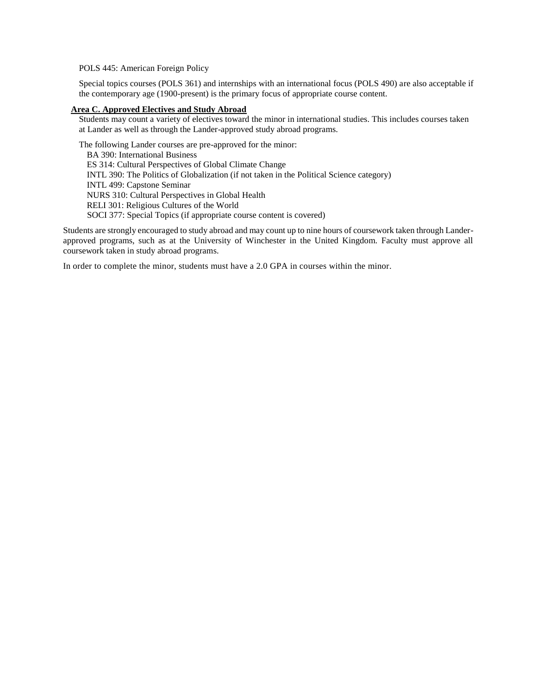POLS 445: American Foreign Policy

Special topics courses (POLS 361) and internships with an international focus (POLS 490) are also acceptable if the contemporary age (1900-present) is the primary focus of appropriate course content.

#### **Area C. Approved Electives and Study Abroad**

Students may count a variety of electives toward the minor in international studies. This includes courses taken at Lander as well as through the Lander-approved study abroad programs.

The following Lander courses are pre-approved for the minor: BA 390: International Business ES 314: Cultural Perspectives of Global Climate Change INTL 390: The Politics of Globalization (if not taken in the Political Science category) INTL 499: Capstone Seminar NURS 310: Cultural Perspectives in Global Health RELI 301: Religious Cultures of the World SOCI 377: Special Topics (if appropriate course content is covered)

Students are strongly encouraged to study abroad and may count up to nine hours of coursework taken through Landerapproved programs, such as at the University of Winchester in the United Kingdom. Faculty must approve all coursework taken in study abroad programs.

In order to complete the minor, students must have a 2.0 GPA in courses within the minor.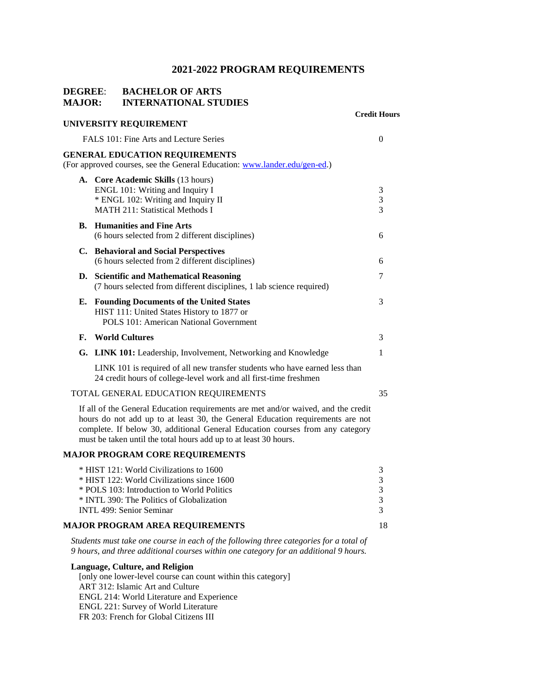#### **DEGREE**: **BACHELOR OF ARTS MAJOR: INTERNATIONAL STUDIES**

|    |                                                                                                                                                                                                                                                                                                                           | <b>Credit Hours</b>   |
|----|---------------------------------------------------------------------------------------------------------------------------------------------------------------------------------------------------------------------------------------------------------------------------------------------------------------------------|-----------------------|
|    | UNIVERSITY REQUIREMENT                                                                                                                                                                                                                                                                                                    |                       |
|    | FALS 101: Fine Arts and Lecture Series                                                                                                                                                                                                                                                                                    | $\overline{0}$        |
|    | <b>GENERAL EDUCATION REQUIREMENTS</b><br>(For approved courses, see the General Education: www.lander.edu/gen-ed.)                                                                                                                                                                                                        |                       |
|    | A. Core Academic Skills (13 hours)<br>ENGL 101: Writing and Inquiry I<br>* ENGL 102: Writing and Inquiry II<br><b>MATH 211: Statistical Methods I</b>                                                                                                                                                                     | 3<br>3<br>3           |
|    | <b>B.</b> Humanities and Fine Arts<br>(6 hours selected from 2 different disciplines)                                                                                                                                                                                                                                     | 6                     |
|    | C. Behavioral and Social Perspectives<br>(6 hours selected from 2 different disciplines)                                                                                                                                                                                                                                  | 6                     |
|    | D. Scientific and Mathematical Reasoning<br>(7 hours selected from different disciplines, 1 lab science required)                                                                                                                                                                                                         | 7                     |
|    | E. Founding Documents of the United States<br>HIST 111: United States History to 1877 or<br><b>POLS 101: American National Government</b>                                                                                                                                                                                 | 3                     |
| F. | <b>World Cultures</b>                                                                                                                                                                                                                                                                                                     | 3                     |
|    | G. LINK 101: Leadership, Involvement, Networking and Knowledge                                                                                                                                                                                                                                                            | 1                     |
|    | LINK 101 is required of all new transfer students who have earned less than<br>24 credit hours of college-level work and all first-time freshmen                                                                                                                                                                          |                       |
|    | TOTAL GENERAL EDUCATION REQUIREMENTS                                                                                                                                                                                                                                                                                      | 35                    |
|    | If all of the General Education requirements are met and/or waived, and the credit<br>hours do not add up to at least 30, the General Education requirements are not<br>complete. If below 30, additional General Education courses from any category<br>must be taken until the total hours add up to at least 30 hours. |                       |
|    | <b>MAJOR PROGRAM CORE REQUIREMENTS</b>                                                                                                                                                                                                                                                                                    |                       |
|    | * HIST 121: World Civilizations to 1600<br>* HIST 122: World Civilizations since 1600<br>* POLS 103: Introduction to World Politics<br>* INTL 390: The Politics of Globalization<br>INTL 499: Senior Seminar                                                                                                              | 3<br>3<br>3<br>3<br>3 |
|    | <b>MAJOR PROGRAM AREA REQUIREMENTS</b>                                                                                                                                                                                                                                                                                    | 18                    |
|    | Students must take one course in each of the following three categories for a total of                                                                                                                                                                                                                                    |                       |

*9 hours, and three additional courses within one category for an additional 9 hours.*

**Language, Culture, and Religion**  [only one lower-level course can count within this category] ART 312: Islamic Art and Culture ENGL 214: World Literature and Experience ENGL 221: Survey of World Literature FR 203: French for Global Citizens III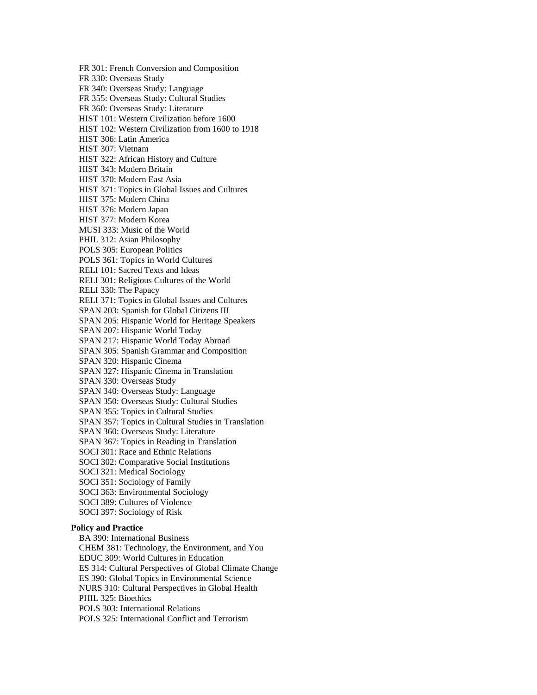FR 301: French Conversion and Composition FR 330: Overseas Study FR 340: Overseas Study: Language FR 355: Overseas Study: Cultural Studies FR 360: Overseas Study: Literature HIST 101: Western Civilization before 1600 HIST 102: Western Civilization from 1600 to 1918 HIST 306: Latin America HIST 307: Vietnam HIST 322: African History and Culture HIST 343: Modern Britain HIST 370: Modern East Asia HIST 371: Topics in Global Issues and Cultures HIST 375: Modern China HIST 376: Modern Japan HIST 377: Modern Korea MUSI 333: Music of the World PHIL 312: Asian Philosophy POLS 305: European Politics POLS 361: Topics in World Cultures RELI 101: Sacred Texts and Ideas RELI 301: Religious Cultures of the World RELI 330: The Papacy RELI 371: Topics in Global Issues and Cultures SPAN 203: Spanish for Global Citizens III SPAN 205: Hispanic World for Heritage Speakers SPAN 207: Hispanic World Today SPAN 217: Hispanic World Today Abroad SPAN 305: Spanish Grammar and Composition SPAN 320: Hispanic Cinema SPAN 327: Hispanic Cinema in Translation SPAN 330: Overseas Study SPAN 340: Overseas Study: Language SPAN 350: Overseas Study: Cultural Studies SPAN 355: Topics in Cultural Studies SPAN 357: Topics in Cultural Studies in Translation SPAN 360: Overseas Study: Literature SPAN 367: Topics in Reading in Translation SOCI 301: Race and Ethnic Relations SOCI 302: Comparative Social Institutions SOCI 321: Medical Sociology SOCI 351: Sociology of Family SOCI 363: Environmental Sociology SOCI 389: Cultures of Violence SOCI 397: Sociology of Risk

#### **Policy and Practice**

BA 390: International Business CHEM 381: Technology, the Environment, and You EDUC 309: World Cultures in Education ES 314: Cultural Perspectives of Global Climate Change ES 390: Global Topics in Environmental Science NURS 310: Cultural Perspectives in Global Health PHIL 325: Bioethics POLS 303: International Relations POLS 325: International Conflict and Terrorism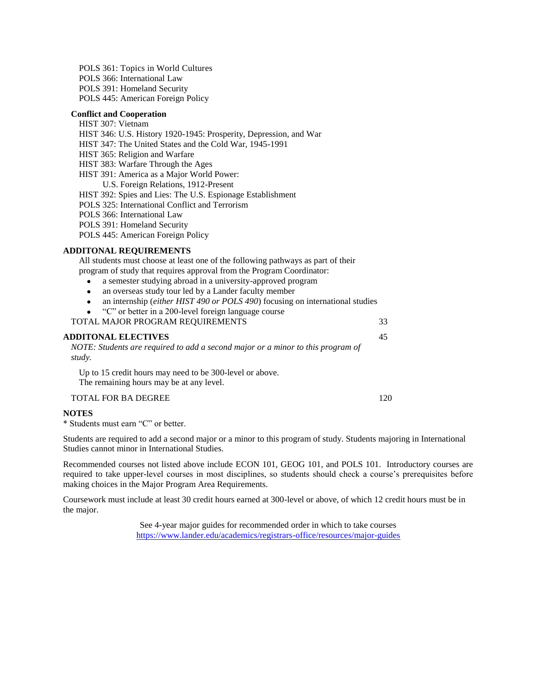POLS 361: Topics in World Cultures POLS 366: International Law POLS 391: Homeland Security POLS 445: American Foreign Policy

#### **Conflict and Cooperation**

#### HIST 307: Vietnam

HIST 346: U.S. History 1920-1945: Prosperity, Depression, and War

HIST 347: The United States and the Cold War, 1945-1991

HIST 365: Religion and Warfare

HIST 383: Warfare Through the Ages

HIST 391: America as a Major World Power:

U.S. Foreign Relations, 1912-Present

HIST 392: Spies and Lies: The U.S. Espionage Establishment

POLS 325: International Conflict and Terrorism

POLS 366: International Law

POLS 391: Homeland Security

POLS 445: American Foreign Policy

#### **ADDITONAL REQUIREMENTS**

All students must choose at least one of the following pathways as part of their program of study that requires approval from the Program Coordinator:

- a semester studying abroad in a university-approved program
- an overseas study tour led by a Lander faculty member
- an internship (*either HIST 490 or POLS 490*) focusing on international studies
- "C" or better in a 200-level foreign language course

TOTAL MAJOR PROGRAM REQUIREMENTS 33

**ADDITONAL ELECTIVES** 45 *NOTE: Students are required to add a second major or a minor to this program of study.*

Up to 15 credit hours may need to be 300-level or above. The remaining hours may be at any level.

TOTAL FOR BA DEGREE 120

#### **NOTES**

\* Students must earn "C" or better.

Students are required to add a second major or a minor to this program of study. Students majoring in International Studies cannot minor in International Studies.

Recommended courses not listed above include ECON 101, GEOG 101, and POLS 101. Introductory courses are required to take upper-level courses in most disciplines, so students should check a course's prerequisites before making choices in the Major Program Area Requirements.

Coursework must include at least 30 credit hours earned at 300-level or above, of which 12 credit hours must be in the major.

> See 4-year major guides for recommended order in which to take courses <https://www.lander.edu/academics/registrars-office/resources/major-guides>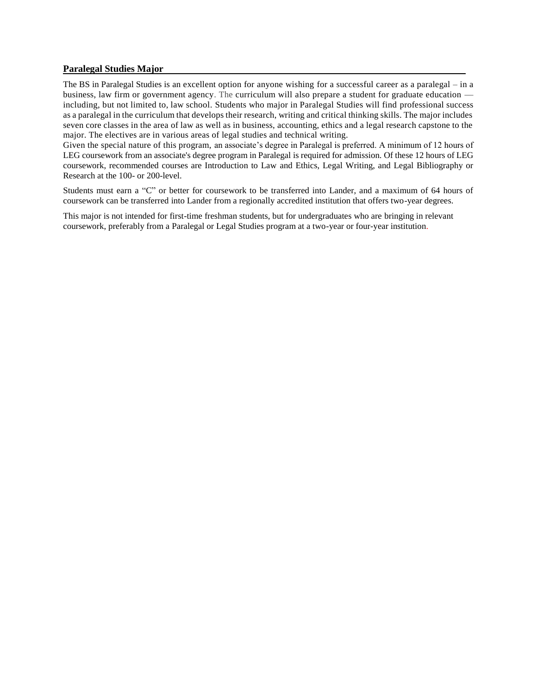#### **Paralegal Studies Major**

The BS in Paralegal Studies is an excellent option for anyone wishing for a successful career as a paralegal – in a business, law firm or government agency. The curriculum will also prepare a student for graduate education including, but not limited to, law school. Students who major in Paralegal Studies will find professional success as a paralegal in the curriculum that develops their research, writing and critical thinking skills. The major includes seven core classes in the area of law as well as in business, accounting, ethics and a legal research capstone to the major. The electives are in various areas of legal studies and technical writing.

Given the special nature of this program, an associate's degree in Paralegal is preferred. A minimum of 12 hours of LEG coursework from an associate's degree program in Paralegal is required for admission. Of these 12 hours of LEG coursework, recommended courses are Introduction to Law and Ethics, Legal Writing, and Legal Bibliography or Research at the 100- or 200-level.

Students must earn a "C" or better for coursework to be transferred into Lander, and a maximum of 64 hours of coursework can be transferred into Lander from a regionally accredited institution that offers two-year degrees.

This major is not intended for first-time freshman students, but for undergraduates who are bringing in relevant coursework, preferably from a Paralegal or Legal Studies program at a two-year or four-year institution.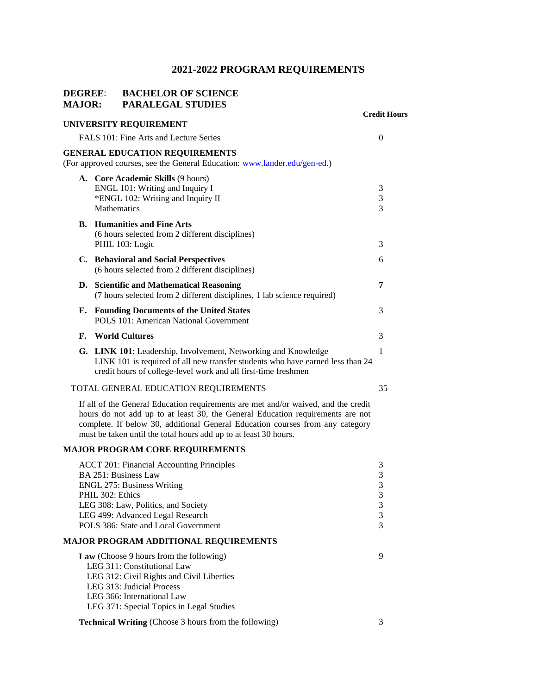## **DEGREE**: **BACHELOR OF SCIENCE MAJOR: PARALEGAL STUDIES**

|    |                                                                                                                                                                                                                                                                                                                           | <b>Credit Hours</b>                          |
|----|---------------------------------------------------------------------------------------------------------------------------------------------------------------------------------------------------------------------------------------------------------------------------------------------------------------------------|----------------------------------------------|
|    | UNIVERSITY REQUIREMENT                                                                                                                                                                                                                                                                                                    |                                              |
|    | FALS 101: Fine Arts and Lecture Series                                                                                                                                                                                                                                                                                    | 0                                            |
|    | <b>GENERAL EDUCATION REQUIREMENTS</b><br>(For approved courses, see the General Education: www.lander.edu/gen-ed.)                                                                                                                                                                                                        |                                              |
|    | A. Core Academic Skills (9 hours)<br>ENGL 101: Writing and Inquiry I<br>*ENGL 102: Writing and Inquiry II<br>Mathematics                                                                                                                                                                                                  | 3<br>3<br>3                                  |
| В. | <b>Humanities and Fine Arts</b><br>(6 hours selected from 2 different disciplines)<br>PHIL 103: Logic                                                                                                                                                                                                                     | 3                                            |
|    | C. Behavioral and Social Perspectives<br>(6 hours selected from 2 different disciplines)                                                                                                                                                                                                                                  | 6                                            |
|    | D. Scientific and Mathematical Reasoning<br>(7 hours selected from 2 different disciplines, 1 lab science required)                                                                                                                                                                                                       | 7                                            |
| Е. | <b>Founding Documents of the United States</b><br>POLS 101: American National Government                                                                                                                                                                                                                                  | 3                                            |
| F. | <b>World Cultures</b>                                                                                                                                                                                                                                                                                                     | 3                                            |
|    | G. LINK 101: Leadership, Involvement, Networking and Knowledge<br>LINK 101 is required of all new transfer students who have earned less than 24<br>credit hours of college-level work and all first-time freshmen                                                                                                        | 1                                            |
|    | TOTAL GENERAL EDUCATION REQUIREMENTS                                                                                                                                                                                                                                                                                      | 35                                           |
|    | If all of the General Education requirements are met and/or waived, and the credit<br>hours do not add up to at least 30, the General Education requirements are not<br>complete. If below 30, additional General Education courses from any category<br>must be taken until the total hours add up to at least 30 hours. |                                              |
|    | <b>MAJOR PROGRAM CORE REQUIREMENTS</b>                                                                                                                                                                                                                                                                                    |                                              |
|    | <b>ACCT 201: Financial Accounting Principles</b><br>BA 251: Business Law<br><b>ENGL 275: Business Writing</b><br>PHIL 302: Ethics<br>LEG 308: Law, Politics, and Society<br>LEG 499: Advanced Legal Research<br>POLS 386: State and Local Government                                                                      | 3<br>$\mathfrak{Z}$<br>3<br>3<br>3<br>3<br>3 |
|    | <b>MAJOR PROGRAM ADDITIONAL REQUIREMENTS</b>                                                                                                                                                                                                                                                                              |                                              |
|    | Law (Choose 9 hours from the following)<br>LEG 311: Constitutional Law<br>LEG 312: Civil Rights and Civil Liberties<br>LEG 313: Judicial Process<br>LEG 366: International Law<br>LEG 371: Special Topics in Legal Studies                                                                                                | 9                                            |
|    | <b>Technical Writing</b> (Choose 3 hours from the following)                                                                                                                                                                                                                                                              | 3                                            |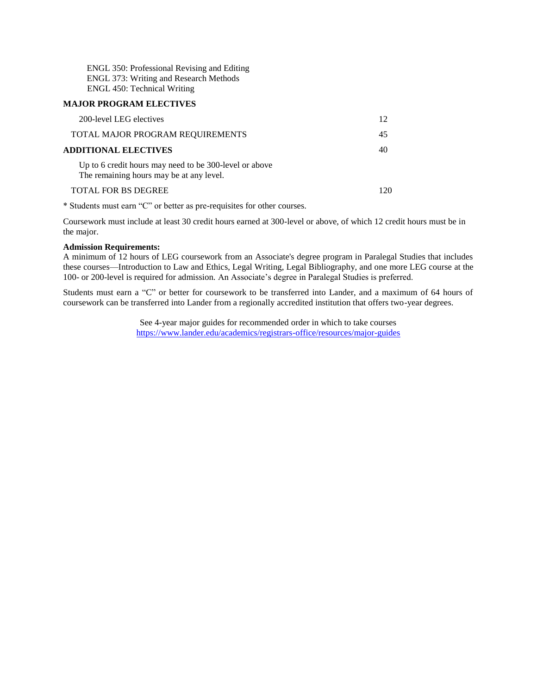ENGL 350: Professional Revising and Editing ENGL 373: Writing and Research Methods ENGL 450: Technical Writing

#### **MAJOR PROGRAM ELECTIVES**

| 200-level LEG electives                                                                            |    |
|----------------------------------------------------------------------------------------------------|----|
| TOTAL MAJOR PROGRAM REQUIREMENTS                                                                   | 45 |
| <b>ADDITIONAL ELECTIVES</b>                                                                        | 40 |
| Up to 6 credit hours may need to be 300-level or above<br>The remaining hours may be at any level. |    |
| <b>TOTAL FOR BS DEGREE</b>                                                                         |    |

\* Students must earn "C" or better as pre-requisites for other courses.

Coursework must include at least 30 credit hours earned at 300-level or above, of which 12 credit hours must be in the major.

#### **Admission Requirements:**

A minimum of 12 hours of LEG coursework from an Associate's degree program in Paralegal Studies that includes these courses—Introduction to Law and Ethics, Legal Writing, Legal Bibliography, and one more LEG course at the 100- or 200-level is required for admission. An Associate's degree in Paralegal Studies is preferred.

Students must earn a "C" or better for coursework to be transferred into Lander, and a maximum of 64 hours of coursework can be transferred into Lander from a regionally accredited institution that offers two-year degrees.

> See 4-year major guides for recommended order in which to take courses <https://www.lander.edu/academics/registrars-office/resources/major-guides>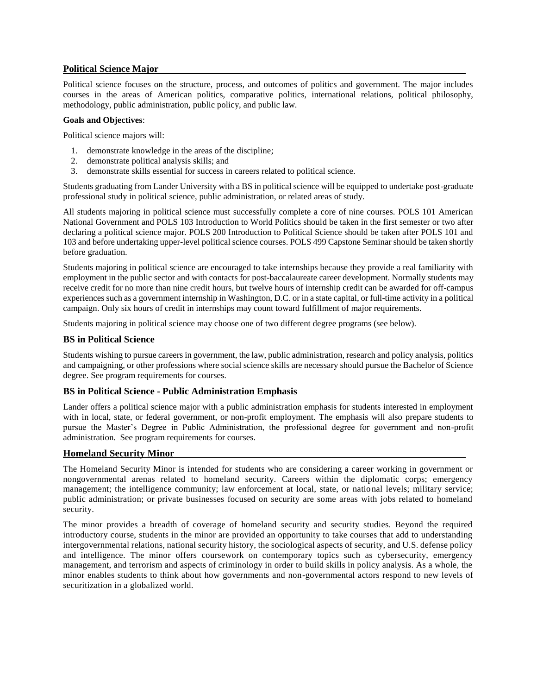#### **Political Science Major**

Political science focuses on the structure, process, and outcomes of politics and government. The major includes courses in the areas of American politics, comparative politics, international relations, political philosophy, methodology, public administration, public policy, and public law.

#### **Goals and Objectives**:

Political science majors will:

- 1. demonstrate knowledge in the areas of the discipline;
- 2. demonstrate political analysis skills; and
- 3. demonstrate skills essential for success in careers related to political science.

Students graduating from Lander University with a BS in political science will be equipped to undertake post-graduate professional study in political science, public administration, or related areas of study.

All students majoring in political science must successfully complete a core of nine courses. POLS 101 American National Government and POLS 103 Introduction to World Politics should be taken in the first semester or two after declaring a political science major. POLS 200 Introduction to Political Science should be taken after POLS 101 and 103 and before undertaking upper-level political science courses. POLS 499 Capstone Seminar should be taken shortly before graduation.

Students majoring in political science are encouraged to take internships because they provide a real familiarity with employment in the public sector and with contacts for post-baccalaureate career development. Normally students may receive credit for no more than nine credit hours, but twelve hours of internship credit can be awarded for off-campus experiences such as a government internship in Washington, D.C. or in a state capital, or full-time activity in a political campaign. Only six hours of credit in internships may count toward fulfillment of major requirements.

Students majoring in political science may choose one of two different degree programs (see below).

#### **BS in Political Science**

Students wishing to pursue careers in government, the law, public administration, research and policy analysis, politics and campaigning, or other professions where social science skills are necessary should pursue the Bachelor of Science degree. See program requirements for courses.

#### **BS in Political Science - Public Administration Emphasis**

Lander offers a political science major with a public administration emphasis for students interested in employment with in local, state, or federal government, or non-profit employment. The emphasis will also prepare students to pursue the Master's Degree in Public Administration, the professional degree for government and non-profit administration. See program requirements for courses.

#### **Homeland Security Minor**

The Homeland Security Minor is intended for students who are considering a career working in government or nongovernmental arenas related to homeland security. Careers within the diplomatic corps; emergency management; the intelligence community; law enforcement at local, state, or national levels; military service; public administration; or private businesses focused on security are some areas with jobs related to homeland security.

The minor provides a breadth of coverage of homeland security and security studies. Beyond the required introductory course, students in the minor are provided an opportunity to take courses that add to understanding intergovernmental relations, national security history, the sociological aspects of security, and U.S. defense policy and intelligence. The minor offers coursework on contemporary topics such as cybersecurity, emergency management, and terrorism and aspects of criminology in order to build skills in policy analysis. As a whole, the minor enables students to think about how governments and non-governmental actors respond to new levels of securitization in a globalized world.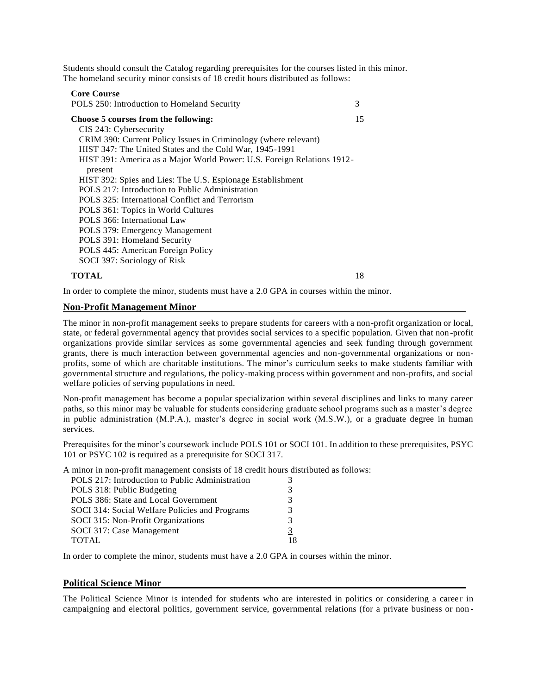Students should consult the Catalog regarding prerequisites for the courses listed in this minor. The homeland security minor consists of 18 credit hours distributed as follows:

#### **Core Course**

POLS 250: Introduction to Homeland Security 3 **Choose 5 courses from the following:** 15 CIS 243: Cybersecurity CRIM 390: Current Policy Issues in Criminology (where relevant) HIST 347: The United States and the Cold War, 1945-1991 HIST 391: America as a Major World Power: U.S. Foreign Relations 1912 present HIST 392: Spies and Lies: The U.S. Espionage Establishment POLS 217: Introduction to Public Administration POLS 325: International Conflict and Terrorism POLS 361: Topics in World Cultures POLS 366: International Law POLS 379: Emergency Management POLS 391: Homeland Security POLS 445: American Foreign Policy SOCI 397: Sociology of Risk

#### **TOTAL** 18

In order to complete the minor, students must have a 2.0 GPA in courses within the minor.

#### **Non-Profit Management Minor**

The minor in non-profit management seeks to prepare students for careers with a non-profit organization or local, state, or federal governmental agency that provides social services to a specific population. Given that non -profit organizations provide similar services as some governmental agencies and seek funding through government grants, there is much interaction between governmental agencies and non-governmental organizations or nonprofits, some of which are charitable institutions. The minor's curriculum seeks to make students familiar with governmental structure and regulations, the policy-making process within government and non-profits, and social welfare policies of serving populations in need.

Non-profit management has become a popular specialization within several disciplines and links to many career paths, so this minor may be valuable for students considering graduate school programs such as a master's degree in public administration (M.P.A.), master's degree in social work (M.S.W.), or a graduate degree in human services.

Prerequisites for the minor's coursework include POLS 101 or SOCI 101. In addition to these prerequisites, PSYC 101 or PSYC 102 is required as a prerequisite for SOCI 317.

A minor in non-profit management consists of 18 credit hours distributed as follows:

| POLS 217: Introduction to Public Administration |               |
|-------------------------------------------------|---------------|
| POLS 318: Public Budgeting                      | 3             |
| POLS 386: State and Local Government            | $\mathcal{R}$ |
| SOCI 314: Social Welfare Policies and Programs  | 3             |
| SOCI 315: Non-Profit Organizations              | 3             |
| SOCI 317: Case Management                       | 3             |
| <b>TOTAL</b>                                    | 18            |

In order to complete the minor, students must have a 2.0 GPA in courses within the minor.

#### **Political Science Minor**

The Political Science Minor is intended for students who are interested in politics or considering a caree r in campaigning and electoral politics, government service, governmental relations (for a private business or non -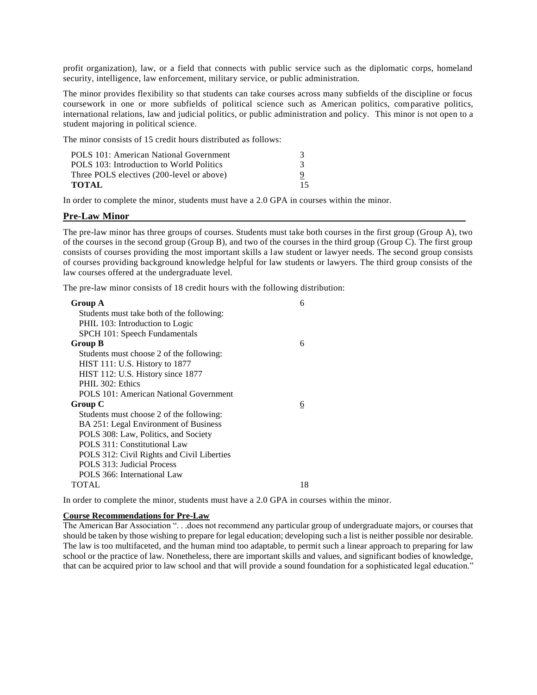profit organization), law, or a field that connects with public service such as the diplomatic corps, homeland security, intelligence, law enforcement, military service, or public administration.

The minor provides flexibility so that students can take courses across many subfields of the discipline or focus coursework in one or more subfields of political science such as American politics, comparative politics, international relations, law and judicial politics, or public administration and policy. This minor is not open to a student majoring in political science.

The minor consists of 15 credit hours distributed as follows:

| POLS 101: American National Government    |    |
|-------------------------------------------|----|
| POLS 103: Introduction to World Politics  |    |
| Three POLS electives (200-level or above) |    |
| TOTAL                                     | 15 |

In order to complete the minor, students must have a 2.0 GPA in courses within the minor.

#### **Pre-Law Minor**

The pre-law minor has three groups of courses. Students must take both courses in the first group (Group A), two of the courses in the second group (Group B), and two of the courses in the third group (Group C). The first group consists of courses providing the most important skills a law student or lawyer needs. The second group consists of courses providing background knowledge helpful for law students or lawyers. The third group consists of the law courses offered at the undergraduate level.

The pre-law minor consists of 18 credit hours with the following distribution:

| <b>Group A</b>                             | 6  |
|--------------------------------------------|----|
| Students must take both of the following:  |    |
| PHIL 103: Introduction to Logic            |    |
| SPCH 101: Speech Fundamentals              |    |
| Group B                                    | 6  |
| Students must choose 2 of the following:   |    |
| HIST 111: U.S. History to 1877             |    |
| HIST 112: U.S. History since 1877          |    |
| PHIL 302: Ethics                           |    |
| POLS 101: American National Government     |    |
| Group C                                    | 6  |
| Students must choose 2 of the following:   |    |
| BA 251: Legal Environment of Business      |    |
| POLS 308: Law, Politics, and Society       |    |
| POLS 311: Constitutional Law               |    |
| POLS 312: Civil Rights and Civil Liberties |    |
| POLS 313: Judicial Process                 |    |
| POLS 366: International Law                |    |
| TOTAL                                      | 18 |
|                                            |    |

In order to complete the minor, students must have a 2.0 GPA in courses within the minor.

#### **Course Recommendations for Pre-Law**

The American Bar Association ". . .does not recommend any particular group of undergraduate majors, or courses that should be taken by those wishing to prepare for legal education; developing such a list is neither possible nor desirable. The law is too multifaceted, and the human mind too adaptable, to permit such a linear approach to preparing for law school or the practice of law. Nonetheless, there are important skills and values, and significant bodies of knowledge, that can be acquired prior to law school and that will provide a sound foundation for a sophisticated legal education."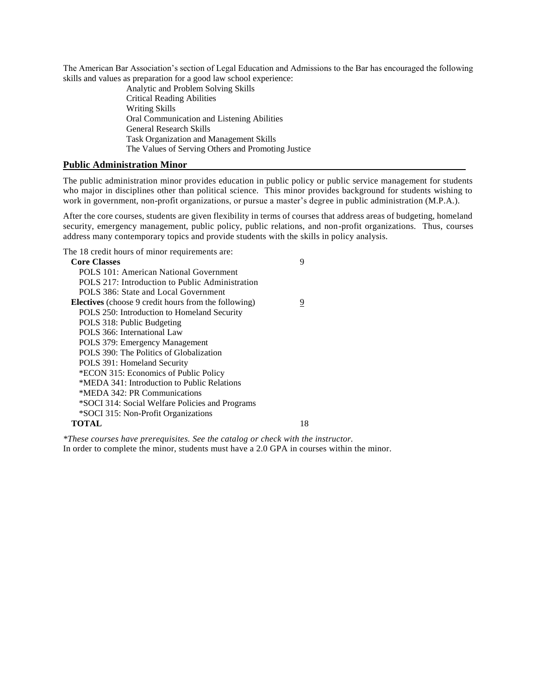The American Bar Association's section of Legal Education and Admissions to the Bar has encouraged the following skills and values as preparation for a good law school experience:

> Analytic and Problem Solving Skills Critical Reading Abilities Writing Skills Oral Communication and Listening Abilities General Research Skills Task Organization and Management Skills The Values of Serving Others and Promoting Justice

#### **Public Administration Minor**

The public administration minor provides education in public policy or public service management for students who major in disciplines other than political science. This minor provides background for students wishing to work in government, non-profit organizations, or pursue a master's degree in public administration (M.P.A.).

After the core courses, students are given flexibility in terms of courses that address areas of budgeting, homeland security, emergency management, public policy, public relations, and non-profit organizations. Thus, courses address many contemporary topics and provide students with the skills in policy analysis.

The 18 credit hours of minor requirements are:

| <b>Core Classes</b>                                         | 9  |
|-------------------------------------------------------------|----|
| POLS 101: American National Government                      |    |
| POLS 217: Introduction to Public Administration             |    |
| POLS 386: State and Local Government                        |    |
| <b>Electives</b> (choose 9 credit hours from the following) | 9  |
| POLS 250: Introduction to Homeland Security                 |    |
| POLS 318: Public Budgeting                                  |    |
| POLS 366: International Law                                 |    |
| POLS 379: Emergency Management                              |    |
| POLS 390: The Politics of Globalization                     |    |
| POLS 391: Homeland Security                                 |    |
| *ECON 315: Economics of Public Policy                       |    |
| *MEDA 341: Introduction to Public Relations                 |    |
| *MEDA 342: PR Communications                                |    |
| *SOCI 314: Social Welfare Policies and Programs             |    |
| *SOCI 315: Non-Profit Organizations                         |    |
| TOTAL                                                       | 18 |

*\*These courses have prerequisites. See the catalog or check with the instructor.* In order to complete the minor, students must have a 2.0 GPA in courses within the minor.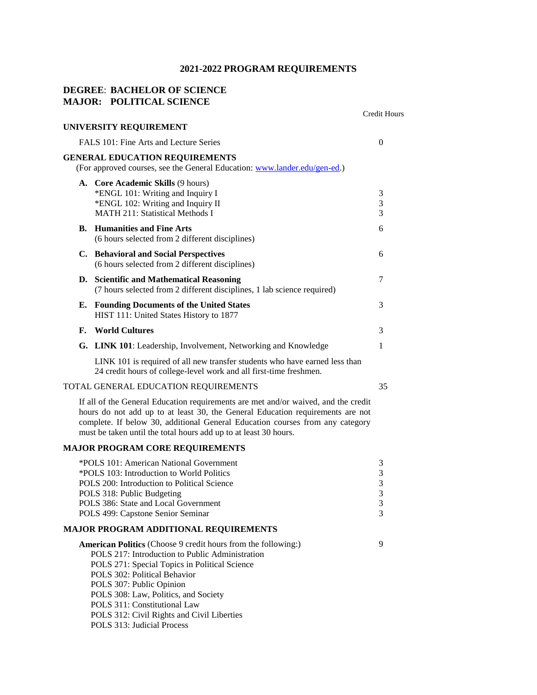## **DEGREE**: **BACHELOR OF SCIENCE MAJOR: POLITICAL SCIENCE**

|    |                                                                                                                                                                                                                                                                                                                                                                                          | Credit Hours                                         |
|----|------------------------------------------------------------------------------------------------------------------------------------------------------------------------------------------------------------------------------------------------------------------------------------------------------------------------------------------------------------------------------------------|------------------------------------------------------|
|    | UNIVERSITY REQUIREMENT                                                                                                                                                                                                                                                                                                                                                                   |                                                      |
|    | FALS 101: Fine Arts and Lecture Series                                                                                                                                                                                                                                                                                                                                                   | 0                                                    |
|    | <b>GENERAL EDUCATION REQUIREMENTS</b><br>(For approved courses, see the General Education: www.lander.edu/gen-ed.)                                                                                                                                                                                                                                                                       |                                                      |
|    | A. Core Academic Skills (9 hours)<br>*ENGL 101: Writing and Inquiry I<br>*ENGL 102: Writing and Inquiry II<br><b>MATH 211: Statistical Methods I</b>                                                                                                                                                                                                                                     | 3<br>3<br>3                                          |
| В. | <b>Humanities and Fine Arts</b><br>(6 hours selected from 2 different disciplines)                                                                                                                                                                                                                                                                                                       | 6                                                    |
|    | C. Behavioral and Social Perspectives<br>(6 hours selected from 2 different disciplines)                                                                                                                                                                                                                                                                                                 | 6                                                    |
|    | D. Scientific and Mathematical Reasoning<br>(7 hours selected from 2 different disciplines, 1 lab science required)                                                                                                                                                                                                                                                                      | 7                                                    |
| Е. | <b>Founding Documents of the United States</b><br>HIST 111: United States History to 1877                                                                                                                                                                                                                                                                                                | 3                                                    |
| F. | <b>World Cultures</b>                                                                                                                                                                                                                                                                                                                                                                    | 3                                                    |
|    | G. LINK 101: Leadership, Involvement, Networking and Knowledge                                                                                                                                                                                                                                                                                                                           | $\mathbf{1}$                                         |
|    | LINK 101 is required of all new transfer students who have earned less than<br>24 credit hours of college-level work and all first-time freshmen.                                                                                                                                                                                                                                        |                                                      |
|    | TOTAL GENERAL EDUCATION REQUIREMENTS                                                                                                                                                                                                                                                                                                                                                     | 35                                                   |
|    | If all of the General Education requirements are met and/or waived, and the credit<br>hours do not add up to at least 30, the General Education requirements are not<br>complete. If below 30, additional General Education courses from any category<br>must be taken until the total hours add up to at least 30 hours.                                                                |                                                      |
|    | <b>MAJOR PROGRAM CORE REQUIREMENTS</b>                                                                                                                                                                                                                                                                                                                                                   |                                                      |
|    | *POLS 101: American National Government<br>*POLS 103: Introduction to World Politics<br>POLS 200: Introduction to Political Science<br>POLS 318: Public Budgeting<br>POLS 386: State and Local Government<br>POLS 499: Capstone Senior Seminar                                                                                                                                           | 3<br>$\mathfrak{Z}$<br>$\mathfrak{Z}$<br>3<br>3<br>3 |
|    | <b>MAJOR PROGRAM ADDITIONAL REQUIREMENTS</b>                                                                                                                                                                                                                                                                                                                                             |                                                      |
|    | <b>American Politics</b> (Choose 9 credit hours from the following:)<br>POLS 217: Introduction to Public Administration<br>POLS 271: Special Topics in Political Science<br>POLS 302: Political Behavior<br>POLS 307: Public Opinion<br>POLS 308: Law, Politics, and Society<br>POLS 311: Constitutional Law<br>POLS 312: Civil Rights and Civil Liberties<br>POLS 313: Judicial Process | 9                                                    |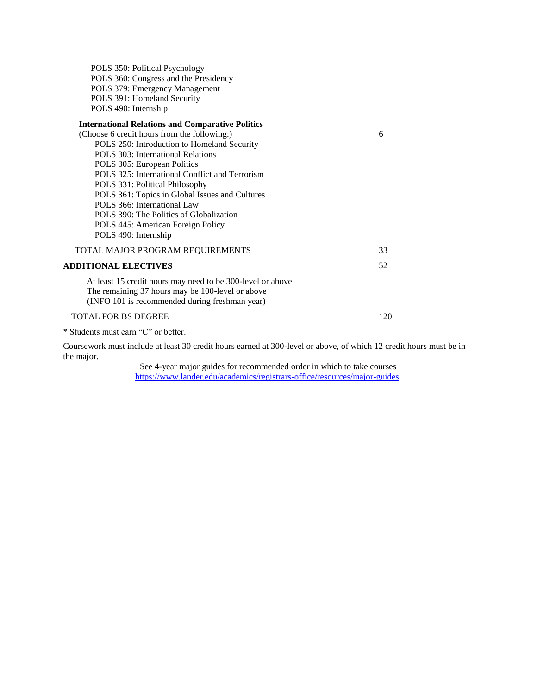POLS 350: Political Psychology POLS 360: Congress and the Presidency POLS 379: Emergency Management POLS 391: Homeland Security POLS 490: Internship

## **International Relations and Comparative Politics**

(INFO 101 is recommended during freshman year)

| 6  |
|----|
|    |
|    |
|    |
|    |
|    |
|    |
|    |
|    |
|    |
|    |
| 33 |
| 52 |
|    |
|    |
|    |

#### TOTAL FOR BS DEGREE 120

\* Students must earn "C" or better.

Coursework must include at least 30 credit hours earned at 300-level or above, of which 12 credit hours must be in the major.

> See 4-year major guides for recommended order in which to take courses [https://www.lander.edu/academics/registrars-office/resources/major-guides.](https://www.lander.edu/academics/registrars-office/resources/major-guides)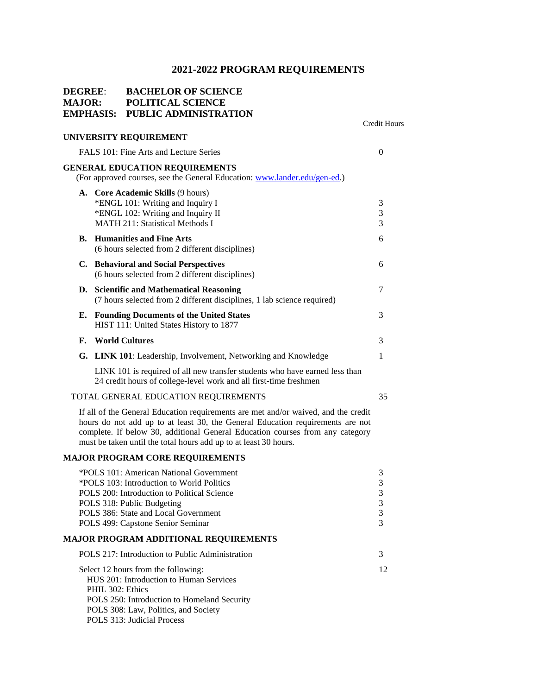### **DEGREE**: **BACHELOR OF SCIENCE MAJOR: POLITICAL SCIENCE EMPHASIS: PUBLIC ADMINISTRATION**

#### **UNIVERSITY REQUIREMENT**

FALS 101: Fine Arts and Lecture Series 0 **GENERAL EDUCATION REQUIREMENTS** (For approved courses, see the General Education: [www.lander.edu/gen-ed.\)](http://www.lander.edu/gen-ed)

Credit Hours

|    | A. Core Academic Skills (9 hours)                                                                                                                |    |
|----|--------------------------------------------------------------------------------------------------------------------------------------------------|----|
|    | *ENGL 101: Writing and Inquiry I                                                                                                                 | 3  |
|    | *ENGL 102: Writing and Inquiry II                                                                                                                | 3  |
|    | <b>MATH 211: Statistical Methods I</b>                                                                                                           | 3  |
|    | <b>B.</b> Humanities and Fine Arts                                                                                                               | 6  |
|    | (6 hours selected from 2 different disciplines)                                                                                                  |    |
|    | C. Behavioral and Social Perspectives                                                                                                            | 6  |
|    | (6 hours selected from 2 different disciplines)                                                                                                  |    |
|    | D. Scientific and Mathematical Reasoning                                                                                                         | 7  |
|    | (7 hours selected from 2 different disciplines, 1 lab science required)                                                                          |    |
|    | <b>E.</b> Founding Documents of the United States                                                                                                | 3  |
|    | HIST 111: United States History to 1877                                                                                                          |    |
| F. | <b>World Cultures</b>                                                                                                                            | 3  |
|    | <b>G.</b> LINK 101: Leadership, Involvement, Networking and Knowledge                                                                            |    |
|    |                                                                                                                                                  |    |
|    | LINK 101 is required of all new transfer students who have earned less than<br>24 credit hours of college-level work and all first-time freshmen |    |
|    | TOTAL GENERAL EDUCATION REQUIREMENTS                                                                                                             | 35 |
|    |                                                                                                                                                  |    |

If all of the General Education requirements are met and/or waived, and the credit hours do not add up to at least 30, the General Education requirements are not complete. If below 30, additional General Education courses from any category must be taken until the total hours add up to at least 30 hours.

#### **MAJOR PROGRAM CORE REQUIREMENTS**

| *POLS 101: American National Government         | 3  |
|-------------------------------------------------|----|
| *POLS 103: Introduction to World Politics       |    |
| POLS 200: Introduction to Political Science     | 3  |
| POLS 318: Public Budgeting                      | 3  |
| POLS 386: State and Local Government            | 3  |
| POLS 499: Capstone Senior Seminar               | 3  |
| MAJOR PROGRAM ADDITIONAL REQUIREMENTS           |    |
| POLS 217: Introduction to Public Administration | 3  |
| Select 12 hours from the following:             | 12 |
| HUS 201: Introduction to Human Services         |    |
| PHIL 302: Ethics                                |    |
| POLS 250: Introduction to Homeland Security     |    |
| POLS 308: Law, Politics, and Society            |    |
| POLS 313: Judicial Process                      |    |
|                                                 |    |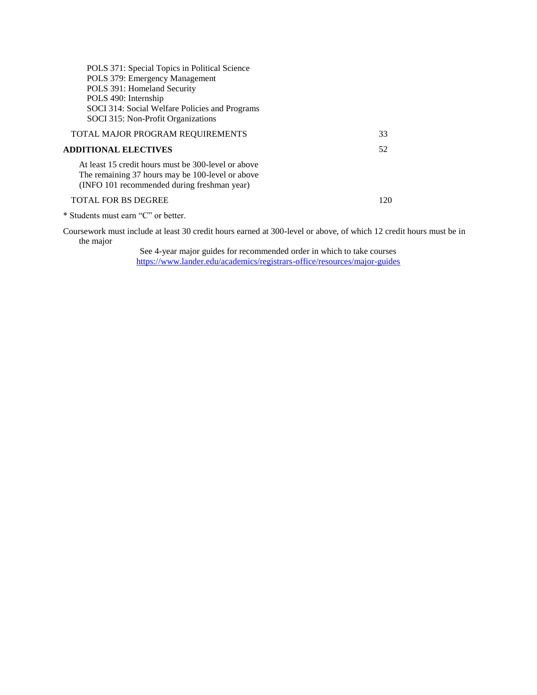| POLS 371: Special Topics in Political Science<br>POLS 379: Emergency Management<br>POLS 391: Homeland Security<br>POLS 490: Internship<br>SOCI 314: Social Welfare Policies and Programs<br>SOCI 315: Non-Profit Organizations |     |
|--------------------------------------------------------------------------------------------------------------------------------------------------------------------------------------------------------------------------------|-----|
| TOTAL MAJOR PROGRAM REQUIREMENTS                                                                                                                                                                                               | 33  |
| <b>ADDITIONAL ELECTIVES</b>                                                                                                                                                                                                    | 52  |
| At least 15 credit hours must be 300-level or above<br>The remaining 37 hours may be 100-level or above<br>(INFO 101 recommended during freshman year)                                                                         |     |
| <b>TOTAL FOR BS DEGREE</b>                                                                                                                                                                                                     | 120 |

\* Students must earn "C" or better.

Coursework must include at least 30 credit hours earned at 300-level or above, of which 12 credit hours must be in the major

See 4-year major guides for recommended order in which to take courses <https://www.lander.edu/academics/registrars-office/resources/major-guides>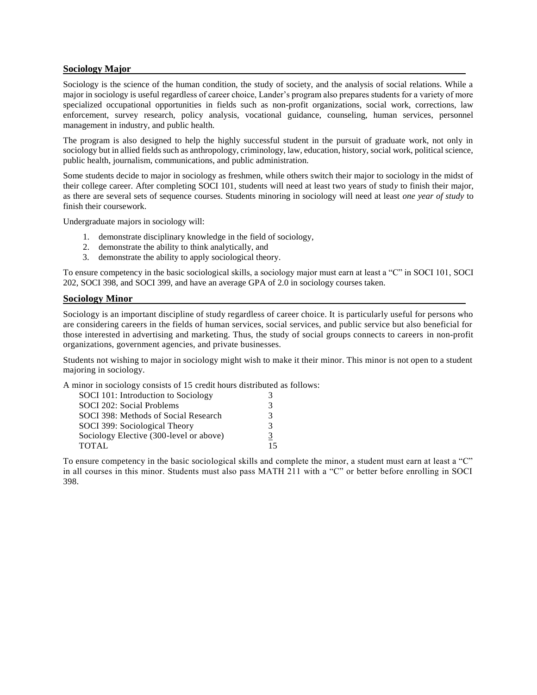#### **Sociology Major**

Sociology is the science of the human condition, the study of society, and the analysis of social relations. While a major in sociology is useful regardless of career choice, Lander's program also prepares students for a variety of more specialized occupational opportunities in fields such as non-profit organizations, social work, corrections, law enforcement, survey research, policy analysis, vocational guidance, counseling, human services, personnel management in industry, and public health.

The program is also designed to help the highly successful student in the pursuit of graduate work, not only in sociology but in allied fields such as anthropology, criminology, law, education, history, social work, political science, public health, journalism, communications, and public administration.

Some students decide to major in sociology as freshmen, while others switch their major to sociology in the midst of their college career. After completing SOCI 101, students will need at least two years of stud*y* to finish their major, as there are several sets of sequence courses. Students minoring in sociology will need at least *one year of study* to finish their coursework.

Undergraduate majors in sociology will:

- 1. demonstrate disciplinary knowledge in the field of sociology,
- 2. demonstrate the ability to think analytically, and
- 3. demonstrate the ability to apply sociological theory.

To ensure competency in the basic sociological skills, a sociology major must earn at least a "C" in SOCI 101, SOCI 202, SOCI 398, and SOCI 399, and have an average GPA of 2.0 in sociology courses taken.

#### **Sociology Minor**

Sociology is an important discipline of study regardless of career choice. It is particularly useful for persons who are considering careers in the fields of human services, social services, and public service but also beneficial for those interested in advertising and marketing. Thus, the study of social groups connects to careers in non-profit organizations, government agencies, and private businesses.

Students not wishing to major in sociology might wish to make it their minor. This minor is not open to a student majoring in sociology.

A minor in sociology consists of 15 credit hours distributed as follows:

| SOCI 101: Introduction to Sociology     |    |
|-----------------------------------------|----|
| SOCI 202: Social Problems               | 3  |
| SOCI 398: Methods of Social Research    | 3  |
| SOCI 399: Sociological Theory           | 3  |
| Sociology Elective (300-level or above) | 3  |
| TOTAL                                   | 15 |

To ensure competency in the basic sociological skills and complete the minor, a student must earn at least a "C" in all courses in this minor. Students must also pass MATH 211 with a "C" or better before enrolling in SOCI 398.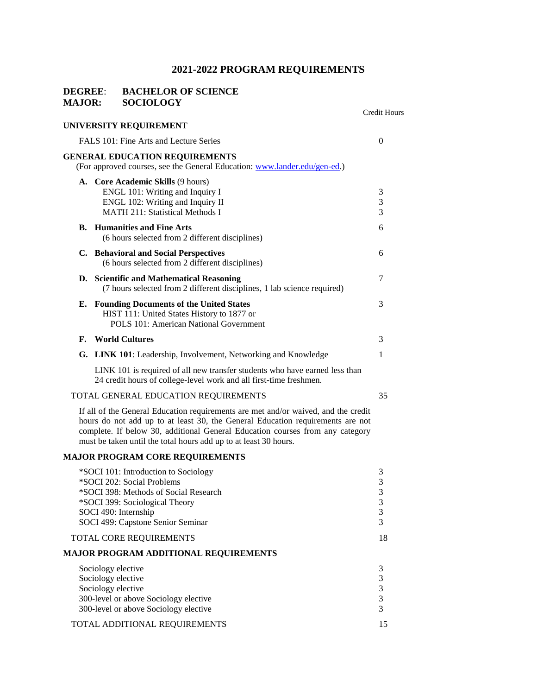### **DEGREE**: **BACHELOR OF SCIENCE MAJOR: SOCIOLOGY**

|    |                                                                                                                                                                                                                                                                                                                           | <b>Credit Hours</b>                                 |
|----|---------------------------------------------------------------------------------------------------------------------------------------------------------------------------------------------------------------------------------------------------------------------------------------------------------------------------|-----------------------------------------------------|
|    | UNIVERSITY REQUIREMENT                                                                                                                                                                                                                                                                                                    |                                                     |
|    | FALS 101: Fine Arts and Lecture Series                                                                                                                                                                                                                                                                                    | $\overline{0}$                                      |
|    | <b>GENERAL EDUCATION REQUIREMENTS</b><br>(For approved courses, see the General Education: www.lander.edu/gen-ed.)                                                                                                                                                                                                        |                                                     |
|    | A. Core Academic Skills (9 hours)<br>ENGL 101: Writing and Inquiry I<br>ENGL 102: Writing and Inquiry II<br><b>MATH 211: Statistical Methods I</b>                                                                                                                                                                        | 3<br>3<br>3                                         |
| В. | <b>Humanities and Fine Arts</b><br>(6 hours selected from 2 different disciplines)                                                                                                                                                                                                                                        | 6                                                   |
| C. | <b>Behavioral and Social Perspectives</b><br>(6 hours selected from 2 different disciplines)                                                                                                                                                                                                                              | 6                                                   |
|    | D. Scientific and Mathematical Reasoning<br>(7 hours selected from 2 different disciplines, 1 lab science required)                                                                                                                                                                                                       | 7                                                   |
| Е. | <b>Founding Documents of the United States</b><br>HIST 111: United States History to 1877 or<br>POLS 101: American National Government                                                                                                                                                                                    | 3                                                   |
| F. | <b>World Cultures</b>                                                                                                                                                                                                                                                                                                     | 3                                                   |
|    | G. LINK 101: Leadership, Involvement, Networking and Knowledge                                                                                                                                                                                                                                                            | 1                                                   |
|    | LINK 101 is required of all new transfer students who have earned less than<br>24 credit hours of college-level work and all first-time freshmen.                                                                                                                                                                         |                                                     |
|    | TOTAL GENERAL EDUCATION REQUIREMENTS                                                                                                                                                                                                                                                                                      | 35                                                  |
|    | If all of the General Education requirements are met and/or waived, and the credit<br>hours do not add up to at least 30, the General Education requirements are not<br>complete. If below 30, additional General Education courses from any category<br>must be taken until the total hours add up to at least 30 hours. |                                                     |
|    | <b>MAJOR PROGRAM CORE REQUIREMENTS</b>                                                                                                                                                                                                                                                                                    |                                                     |
|    | *SOCI 101: Introduction to Sociology<br>*SOCI 202: Social Problems<br>*SOCI 398: Methods of Social Research<br>*SOCI 399: Sociological Theory<br>SOCI 490: Internship<br>SOCI 499: Capstone Senior Seminar                                                                                                                | 3<br>$\mathfrak 3$<br>3<br>$\mathfrak{Z}$<br>3<br>3 |
|    | TOTAL CORE REQUIREMENTS                                                                                                                                                                                                                                                                                                   | 18                                                  |
|    | <b>MAJOR PROGRAM ADDITIONAL REQUIREMENTS</b>                                                                                                                                                                                                                                                                              |                                                     |
|    | Sociology elective<br>Sociology elective<br>Sociology elective<br>300-level or above Sociology elective<br>300-level or above Sociology elective                                                                                                                                                                          | 3<br>3<br>$\mathfrak 3$<br>$\mathfrak{Z}$<br>3      |
|    | TOTAL ADDITIONAL REQUIREMENTS                                                                                                                                                                                                                                                                                             | 15                                                  |